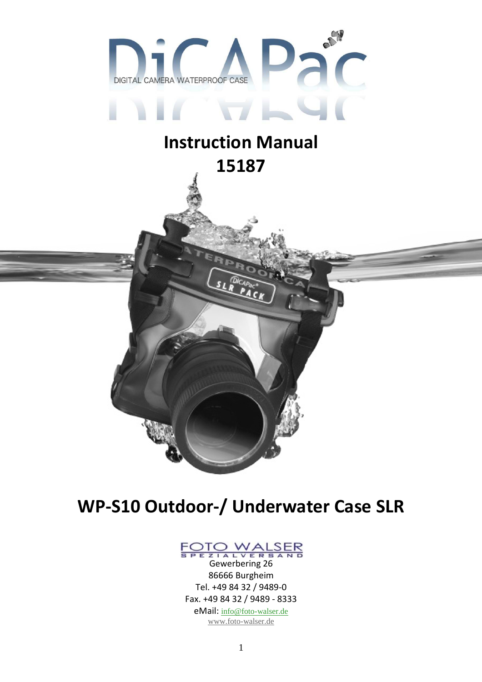

# Instruction Manual 15187

## WP-S10 Outdoor-/ Underwater Case SLR



Gewerbering 26 86666 Burgheim Tel. +49 84 32 / 9489-0 Fax. +49 84 32 / 9489 - 8333 eMail: info@foto-walser.de www.foto-walser.de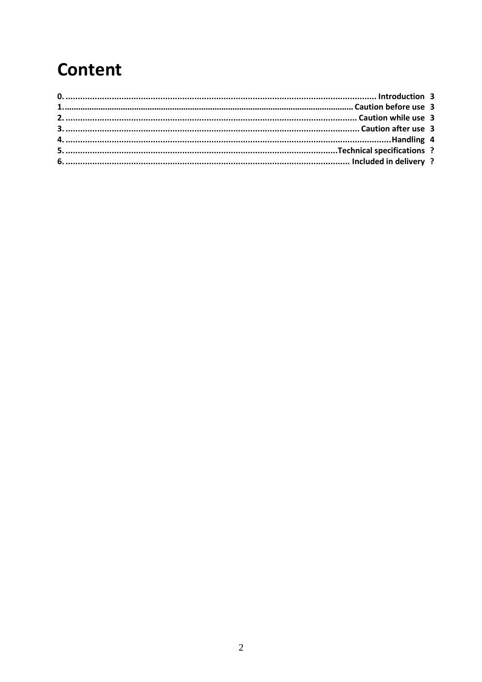# **Content**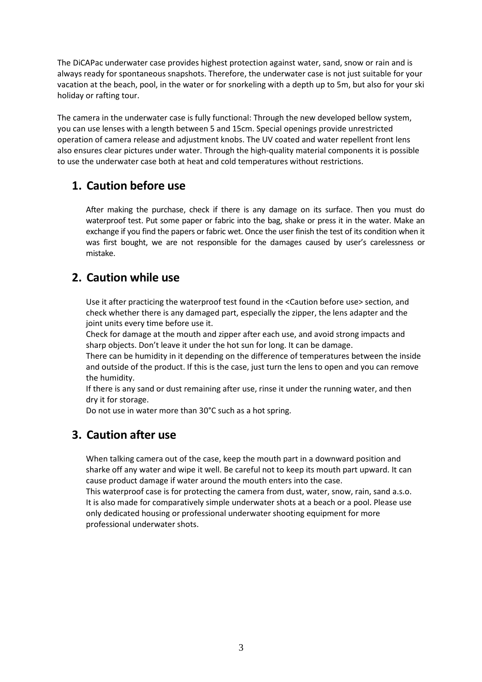The DiCAPac underwater case provides highest protection against water, sand, snow or rain and is always ready for spontaneous snapshots. Therefore, the underwater case is not just suitable for your vacation at the beach, pool, in the water or for snorkeling with a depth up to 5m, but also for your ski holiday or rafting tour.

The camera in the underwater case is fully functional: Through the new developed bellow system, you can use lenses with a length between 5 and 15cm. Special openings provide unrestricted operation of camera release and adjustment knobs. The UV coated and water repellent front lens also ensures clear pictures under water. Through the high-quality material components it is possible to use the underwater case both at heat and cold temperatures without restrictions.

#### 1. Caution before use

After making the purchase, check if there is any damage on its surface. Then you must do waterproof test. Put some paper or fabric into the bag, shake or press it in the water. Make an exchange if you find the papers or fabric wet. Once the user finish the test of its condition when it was first bought, we are not responsible for the damages caused by user's carelessness or mistake.

### 2. Caution while use

Use it after practicing the waterproof test found in the <Caution before use> section, and check whether there is any damaged part, especially the zipper, the lens adapter and the joint units every time before use it.

Check for damage at the mouth and zipper after each use, and avoid strong impacts and sharp objects. Don't leave it under the hot sun for long. It can be damage.

There can be humidity in it depending on the difference of temperatures between the inside and outside of the product. If this is the case, just turn the lens to open and you can remove the humidity.

If there is any sand or dust remaining after use, rinse it under the running water, and then dry it for storage.

Do not use in water more than 30°C such as a hot spring.

### 3. Caution after use

When talking camera out of the case, keep the mouth part in a downward position and sharke off any water and wipe it well. Be careful not to keep its mouth part upward. It can cause product damage if water around the mouth enters into the case.

This waterproof case is for protecting the camera from dust, water, snow, rain, sand a.s.o. It is also made for comparatively simple underwater shots at a beach or a pool. Please use only dedicated housing or professional underwater shooting equipment for more professional underwater shots.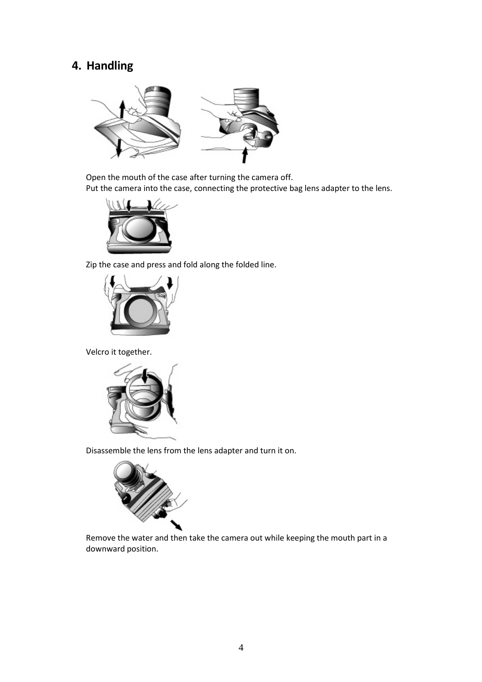### 4. Handling



Open the mouth of the case after turning the camera off. Put the camera into the case, connecting the protective bag lens adapter to the lens.



Zip the case and press and fold along the folded line.



Velcro it together.



Disassemble the lens from the lens adapter and turn it on.



Remove the water and then take the camera out while keeping the mouth part in a downward position.